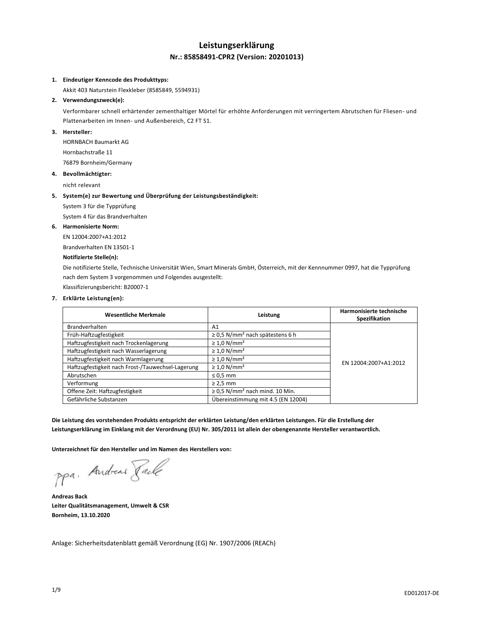# **Leistungserklärung Nr.: 85858491-CPR2 (Version: 20201013)**

# **1. Eindeutiger Kenncode des Produkttyps:**

Akkit 403 Naturstein Flexkleber (8585849, 5594931)

#### **2. Verwendungszweck(e):**

Verformbarer schnell erhärtender zementhaltiger Mörtel für erhöhte Anforderungen mit verringertem Abrutschen für Fliesen- und Plattenarbeiten im Innen- und Außenbereich, C2 FT S1.

# **3. Hersteller:**

HORNBACH Baumarkt AG Hornbachstraße 11 76879 Bornheim/Germany

#### **4. Bevollmächtigter:**

nicht relevant

#### **5. System(e) zur Bewertung und Überprüfung der Leistungsbeständigkeit:**

System 3 für die Typprüfung

System 4 für das Brandverhalten

# **6. Harmonisierte Norm:**

EN 12004:2007+A1:2012 Brandverhalten EN 13501-1

# **Notifizierte Stelle(n):**

Die notifizierte Stelle, Technische Universität Wien, Smart Minerals GmbH, Österreich, mit der Kennnummer 0997, hat die Typprüfung nach dem System 3 vorgenommen und Folgendes ausgestellt:

Klassifizierungsbericht: B20007-1

#### **7. Erklärte Leistung(en):**

| <b>Wesentliche Merkmale</b>                       | Leistung                                         | Harmonisierte technische<br>Spezifikation |
|---------------------------------------------------|--------------------------------------------------|-------------------------------------------|
| Brandverhalten                                    | A1                                               |                                           |
| Früh-Haftzugfestigkeit                            | $\geq$ 0,5 N/mm <sup>2</sup> nach spätestens 6 h |                                           |
| Haftzugfestigkeit nach Trockenlagerung            | $\geq 1.0$ N/mm <sup>2</sup>                     |                                           |
| Haftzugfestigkeit nach Wasserlagerung             | $\geq 1.0$ N/mm <sup>2</sup>                     |                                           |
| Haftzugfestigkeit nach Warmlagerung               | $\geq 1.0$ N/mm <sup>2</sup>                     | EN 12004:2007+A1:2012                     |
| Haftzugfestigkeit nach Frost-/Tauwechsel-Lagerung | $\geq 1.0$ N/mm <sup>2</sup>                     |                                           |
| Abrutschen                                        | $\leq 0.5$ mm                                    |                                           |
| Verformung                                        | $\geq$ 2.5 mm                                    |                                           |
| Offene Zeit: Haftzugfestigkeit                    | $\geq$ 0,5 N/mm <sup>2</sup> nach mind. 10 Min.  |                                           |
| Gefährliche Substanzen                            | Übereinstimmung mit 4.5 (EN 12004)               |                                           |

**Die Leistung des vorstehenden Produkts entspricht der erklärten Leistung/den erklärten Leistungen. Für die Erstellung der Leistungserklärung im Einklang mit der Verordnung (EU) Nr. 305/2011 ist allein der obengenannte Hersteller verantwortlich.**

**Unterzeichnet für den Hersteller und im Namen des Herstellers von:**

ppa. Andreas Jack

**Andreas Back Leiter Qualitätsmanagement, Umwelt & CSR Bornheim, 13.10.2020**

Anlage: Sicherheitsdatenblatt gemäß Verordnung (EG) Nr. 1907/2006 (REACh)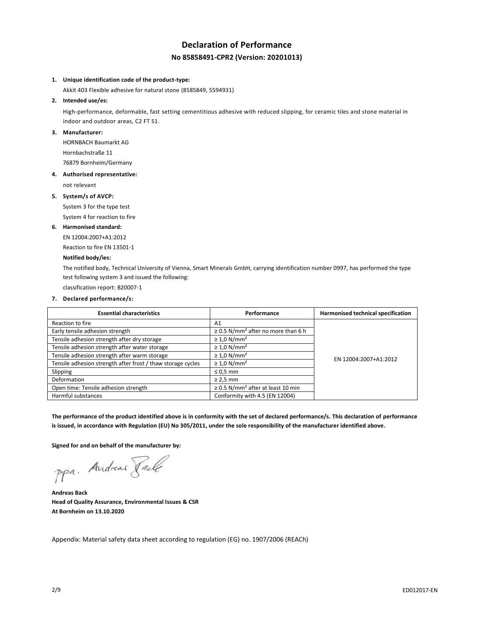# **Declaration of Performance No 85858491-CPR2 (Version: 20201013)**

#### **1. Unique identification code of the product-type:**

Akkit 403 Flexible adhesive for natural stone (8585849, 5594931)

**2. Intended use/es:**

High-performance, deformable, fast setting cementitious adhesive with reduced slipping, for ceramic tiles and stone material in indoor and outdoor areas, C2 FT S1.

# **3. Manufacturer:**

HORNBACH Baumarkt AG Hornbachstraße 11 76879 Bornheim/Germany

#### **4. Authorised representative:**

not relevant

#### **5. System/s of AVCP:**

System 3 for the type test

System 4 for reaction to fire

#### **6. Harmonised standard:**

EN 12004:2007+A1:2012

Reaction to fire EN 13501-1

# **Notified body/ies:**

The notified body, Technical University of Vienna, Smart Minerals GmbH, carrying identification number 0997, has performed the type test following system 3 and issued the following:

classification report: B20007-1

# **7. Declared performance/s:**

| <b>Essential characteristics</b>                            | Performance                                         | Harmonised technical specification |
|-------------------------------------------------------------|-----------------------------------------------------|------------------------------------|
| Reaction to fire                                            | A <sub>1</sub>                                      |                                    |
| Early tensile adhesion strength                             | $\geq$ 0.5 N/mm <sup>2</sup> after no more than 6 h |                                    |
| Tensile adhesion strength after dry storage                 | $\geq 1.0$ N/mm <sup>2</sup>                        |                                    |
| Tensile adhesion strength after water storage               | $\geq 1.0$ N/mm <sup>2</sup>                        |                                    |
| Tensile adhesion strength after warm storage                | $\geq 1.0$ N/mm <sup>2</sup>                        | EN 12004:2007+A1:2012              |
| Tensile adhesion strength after frost / thaw storage cycles | $\geq 1.0$ N/mm <sup>2</sup>                        |                                    |
| Slipping                                                    | $\leq 0.5$ mm                                       |                                    |
| Deformation                                                 | $\geq$ 2.5 mm                                       |                                    |
| Open time: Tensile adhesion strength                        | $\geq$ 0.5 N/mm <sup>2</sup> after at least 10 min  |                                    |
| Harmful substances                                          | Conformity with 4.5 (EN 12004)                      |                                    |

**The performance of the product identified above is in conformity with the set of declared performance/s. This declaration of performance is issued, in accordance with Regulation (EU) No 305/2011, under the sole responsibility of the manufacturer identified above.**

**Signed for and on behalf of the manufacturer by:**

ppa. Andreas Paule

**Andreas Back Head of Quality Assurance, Environmental Issues & CSR At Bornheim on 13.10.2020**

Appendix: Material safety data sheet according to regulation (EG) no. 1907/2006 (REACh)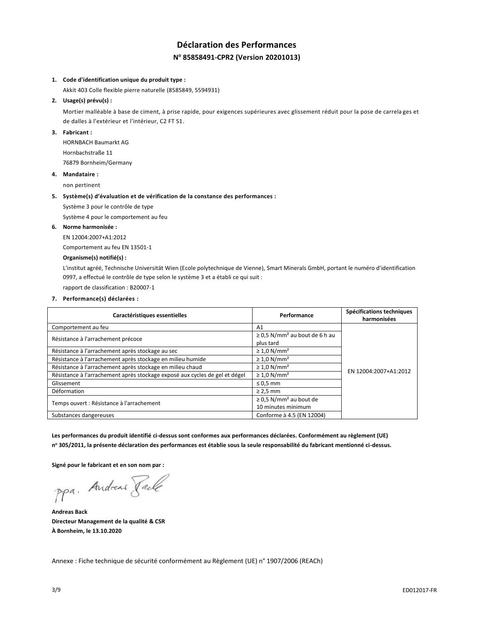# **Déclaration des Performances N <sup>o</sup> 85858491-CPR2 (Version 20201013)**

## **1. Code d'identification unique du produit type :**

Akkit 403 Colle flexible pierre naturelle (8585849, 5594931)

# **2. Usage(s) prévu(s) :**

Mortier malléable à base de ciment, à prise rapide, pour exigences supérieures avec glissement réduit pour la pose de carrela ges et de dalles à l'extérieur et l'intérieur, C2 FT S1.

# **3. Fabricant :**

HORNBACH Baumarkt AG Hornbachstraße 11 76879 Bornheim/Germany

#### **4. Mandataire :**

non pertinent

#### **5. Système(s) d'évaluation et de vérification de la constance des performances :**

Système 3 pour le contrôle de type

Système 4 pour le comportement au feu

# **6. Norme harmonisée :**

EN 12004:2007+A1:2012

Comportement au feu EN 13501-1

# **Organisme(s) notifié(s) :**

L'institut agréé, Technische Universität Wien (Ecole polytechnique de Vienne), Smart Minerals GmbH, portant le numéro d'identification 0997, a effectué le contrôle de type selon le système 3 et a établi ce qui suit :

rapport de classification : B20007-1

#### **7. Performance(s) déclarées :**

| Caractéristiques essentielles                                               | Performance                                    | Spécifications techniques<br>harmonisées |
|-----------------------------------------------------------------------------|------------------------------------------------|------------------------------------------|
| Comportement au feu                                                         | A <sub>1</sub>                                 |                                          |
| Résistance à l'arrachement précoce                                          | $\geq$ 0,5 N/mm <sup>2</sup> au bout de 6 h au |                                          |
|                                                                             | plus tard                                      |                                          |
| Résistance à l'arrachement après stockage au sec                            | $\geq 1.0$ N/mm <sup>2</sup>                   |                                          |
| Résistance à l'arrachement après stockage en milieu humide                  | $\geq 1.0$ N/mm <sup>2</sup>                   |                                          |
| Résistance à l'arrachement après stockage en milieu chaud                   | $\geq 1.0$ N/mm <sup>2</sup>                   | EN 12004:2007+A1:2012                    |
| Résistance à l'arrachement après stockage exposé aux cycles de gel et dégel | $\geq 1.0$ N/mm <sup>2</sup>                   |                                          |
| Glissement                                                                  | $\leq 0.5$ mm                                  |                                          |
| Déformation                                                                 | $\geq$ 2,5 mm                                  |                                          |
|                                                                             | $\geq$ 0,5 N/mm <sup>2</sup> au bout de        |                                          |
| Temps ouvert : Résistance à l'arrachement                                   | 10 minutes minimum                             |                                          |
| Substances dangereuses                                                      | Conforme à 4.5 (EN 12004)                      |                                          |

**Les performances du produit identifié ci-dessus sont conformes aux performances déclarées. Conformément au règlement (UE) n <sup>o</sup> 305/2011, la présente déclaration des performances est établie sous la seule responsabilité du fabricant mentionné ci-dessus.**

**Signé pour le fabricant et en son nom par :**

ppa. Andreas Paule

**Andreas Back Directeur Management de la qualité & CSR À Bornheim, le 13.10.2020**

Annexe : Fiche technique de sécurité conformément au Règlement (UE) n° 1907/2006 (REACh)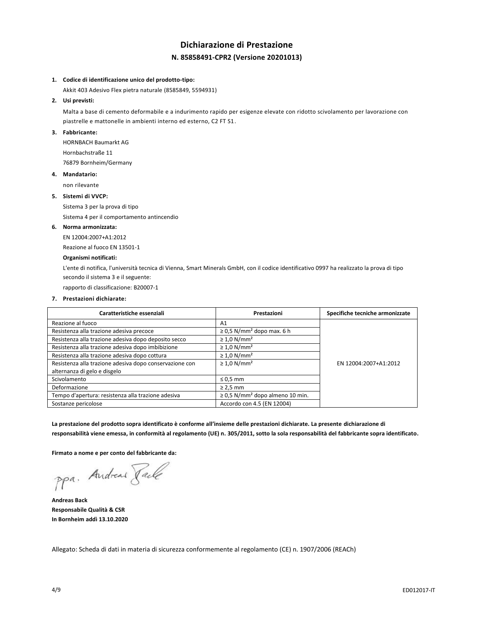# **Dichiarazione di Prestazione N. 85858491-CPR2 (Versione 20201013)**

#### **1. Codice di identificazione unico del prodotto-tipo:**

Akkit 403 Adesivo Flex pietra naturale (8585849, 5594931)

# **2. Usi previsti:**

Malta a base di cemento deformabile e a indurimento rapido per esigenze elevate con ridotto scivolamento per lavorazione con piastrelle e mattonelle in ambienti interno ed esterno, C2 FT S1.

# **3. Fabbricante:**

HORNBACH Baumarkt AG Hornbachstraße 11 76879 Bornheim/Germany

#### **4. Mandatario:**

non rilevante

#### **5. Sistemi di VVCP:**

Sistema 3 per la prova di tipo

Sistema 4 per il comportamento antincendio

#### **6. Norma armonizzata:**

EN 12004:2007+A1:2012

Reazione al fuoco EN 13501-1

# **Organismi notificati:**

L'ente di notifica, l'università tecnica di Vienna, Smart Minerals GmbH, con il codice identificativo 0997 ha realizzato la prova di tipo secondo il sistema 3 e il seguente:

rapporto di classificazione: B20007-1

# **7. Prestazioni dichiarate:**

| Caratteristiche essenziali                              | Prestazioni                                      | Specifiche tecniche armonizzate |
|---------------------------------------------------------|--------------------------------------------------|---------------------------------|
| Reazione al fuoco                                       | A1                                               |                                 |
| Resistenza alla trazione adesiva precoce                | $\geq$ 0,5 N/mm <sup>2</sup> dopo max. 6 h       |                                 |
| Resistenza alla trazione adesiva dopo deposito secco    | $\geq 1.0$ N/mm <sup>2</sup>                     |                                 |
| Resistenza alla trazione adesiva dopo imbibizione       | $\geq 1.0$ N/mm <sup>2</sup>                     |                                 |
| Resistenza alla trazione adesiva dopo cottura           | $\geq 1.0$ N/mm <sup>2</sup>                     |                                 |
| Resistenza alla trazione adesiva dopo conservazione con | $\geq 1.0$ N/mm <sup>2</sup>                     | EN 12004:2007+A1:2012           |
| alternanza di gelo e disgelo                            |                                                  |                                 |
| Scivolamento                                            | $\leq 0.5$ mm                                    |                                 |
| Deformazione                                            | $\geq$ 2,5 mm                                    |                                 |
| Tempo d'apertura: resistenza alla trazione adesiva      | $\geq$ 0.5 N/mm <sup>2</sup> dopo almeno 10 min. |                                 |
| Sostanze pericolose                                     | Accordo con 4.5 (EN 12004)                       |                                 |

**La prestazione del prodotto sopra identificato è conforme all'insieme delle prestazioni dichiarate. La presente dichiarazione di responsabilità viene emessa, in conformità al regolamento (UE) n. 305/2011, sotto la sola responsabilità del fabbricante sopra identificato.**

**Firmato a nome e per conto del fabbricante da:**

ppa. Andreas Paule

**Andreas Back Responsabile Qualità & CSR In Bornheim addì 13.10.2020**

Allegato: Scheda di dati in materia di sicurezza conformemente al regolamento (CE) n. 1907/2006 (REACh)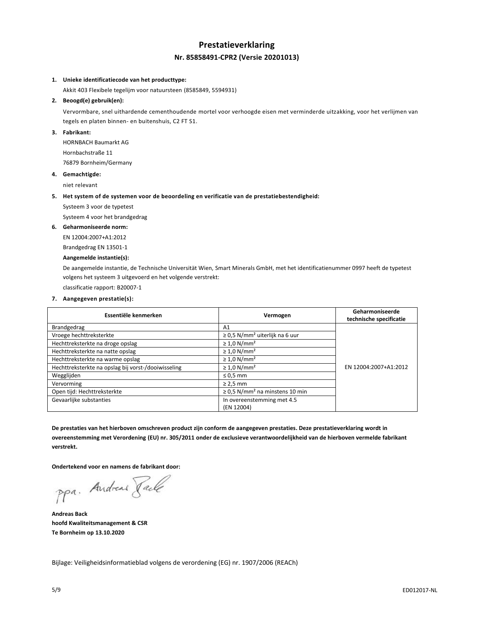# **Prestatieverklaring Nr. 85858491-CPR2 (Versie 20201013)**

# **1. Unieke identificatiecode van het producttype:**

Akkit 403 Flexibele tegelijm voor natuursteen (8585849, 5594931)

# **2. Beoogd(e) gebruik(en):**

Vervormbare, snel uithardende cementhoudende mortel voor verhoogde eisen met verminderde uitzakking, voor het verlijmen van tegels en platen binnen- en buitenshuis, C2 FT S1.

# **3. Fabrikant:**

HORNBACH Baumarkt AG Hornbachstraße 11 76879 Bornheim/Germany

# **4. Gemachtigde:**

niet relevant

#### **5. Het system of de systemen voor de beoordeling en verificatie van de prestatiebestendigheid:**

Systeem 3 voor de typetest

Systeem 4 voor het brandgedrag

#### **6. Geharmoniseerde norm:**

EN 12004:2007+A1:2012

Brandgedrag EN 13501-1

# **Aangemelde instantie(s):**

De aangemelde instantie, de Technische Universität Wien, Smart Minerals GmbH, met het identificatienummer 0997 heeft de typetest volgens het systeem 3 uitgevoerd en het volgende verstrekt:

classificatie rapport: B20007-1

#### **7. Aangegeven prestatie(s):**

| Essentiële kenmerken                                | Vermogen                                        | Geharmoniseerde<br>technische specificatie |
|-----------------------------------------------------|-------------------------------------------------|--------------------------------------------|
| Brandgedrag                                         | A1                                              |                                            |
| Vroege hechttreksterkte                             | $\geq$ 0.5 N/mm <sup>2</sup> uiterlijk na 6 uur |                                            |
| Hechttreksterkte na droge opslag                    | $\geq 1.0$ N/mm <sup>2</sup>                    |                                            |
| Hechttreksterkte na natte opslag                    | $\geq 1.0$ N/mm <sup>2</sup>                    |                                            |
| Hechttreksterkte na warme opslag                    | $\geq 1.0$ N/mm <sup>2</sup>                    |                                            |
| Hechttreksterkte na opslag bij vorst-/dooiwisseling | $\geq 1.0$ N/mm <sup>2</sup>                    | EN 12004:2007+A1:2012                      |
| Wegglijden                                          | $\leq 0.5$ mm                                   |                                            |
| Vervorming                                          | $\geq$ 2,5 mm                                   |                                            |
| Open tijd: Hechttreksterkte                         | $\geq$ 0.5 N/mm <sup>2</sup> na minstens 10 min |                                            |
| Gevaarlijke substanties                             | In overeenstemming met 4.5<br>(EN 12004)        |                                            |

**De prestaties van het hierboven omschreven product zijn conform de aangegeven prestaties. Deze prestatieverklaring wordt in overeenstemming met Verordening (EU) nr. 305/2011 onder de exclusieve verantwoordelijkheid van de hierboven vermelde fabrikant verstrekt.**

**Ondertekend voor en namens de fabrikant door:**

ppa. Andreas Jack

**Andreas Back hoofd Kwaliteitsmanagement & CSR Te Bornheim op 13.10.2020**

Bijlage: Veiligheidsinformatieblad volgens de verordening (EG) nr. 1907/2006 (REACh)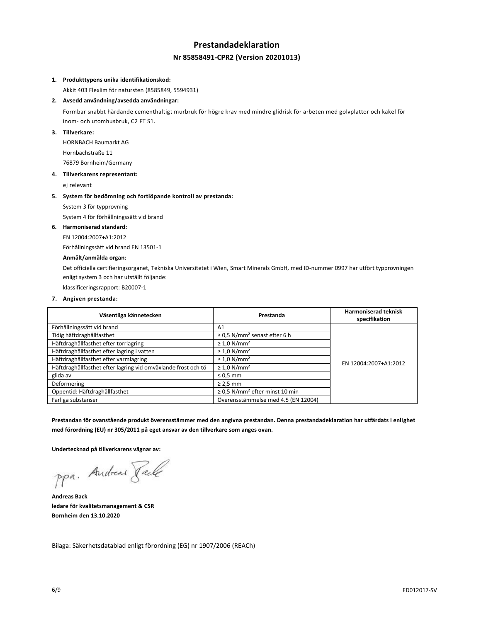# **Prestandadeklaration Nr 85858491-CPR2 (Version 20201013)**

## **1. Produkttypens unika identifikationskod:**

Akkit 403 Flexlim för natursten (8585849, 5594931)

## **2. Avsedd användning/avsedda användningar:**

Formbar snabbt härdande cementhaltigt murbruk för högre krav med mindre glidrisk för arbeten med golvplattor och kakel för inom- och utomhusbruk, C2 FT S1.

# **3. Tillverkare:**

HORNBACH Baumarkt AG Hornbachstraße 11 76879 Bornheim/Germany

#### **4. Tillverkarens representant:**

ej relevant

#### **5. System för bedömning och fortlöpande kontroll av prestanda:**

System 3 för typprovning

System 4 för förhållningssätt vid brand

#### **6. Harmoniserad standard:**

EN 12004:2007+A1:2012

Förhållningssätt vid brand EN 13501-1

# **Anmält/anmälda organ:**

Det officiella certifieringsorganet, Tekniska Universitetet i Wien, Smart Minerals GmbH, med ID-nummer 0997 har utfört typprovningen enligt system 3 och har utställt följande:

klassificeringsrapport: B20007-1

#### **7. Angiven prestanda:**

| Väsentliga kännetecken                                        | Prestanda                                       | <b>Harmoniserad teknisk</b><br>specifikation |
|---------------------------------------------------------------|-------------------------------------------------|----------------------------------------------|
| Förhållningssätt vid brand                                    | A <sub>1</sub>                                  |                                              |
| Tidig häftdraghållfasthet                                     | $\geq$ 0.5 N/mm <sup>2</sup> senast efter 6 h   |                                              |
| Häftdraghållfasthet efter torrlagring                         | $\geq 1.0$ N/mm <sup>2</sup>                    |                                              |
| Häftdraghållfasthet efter lagring i vatten                    | $\geq 1.0$ N/mm <sup>2</sup>                    |                                              |
| Häftdraghållfasthet efter varmlagring                         | $\geq 1.0$ N/mm <sup>2</sup>                    | EN 12004:2007+A1:2012                        |
| Häftdraghållfasthet efter lagring vid omväxlande frost och tö | $\geq 1.0$ N/mm <sup>2</sup>                    |                                              |
| glida av                                                      | $\leq 0.5$ mm                                   |                                              |
| Deformering                                                   | $\geq$ 2,5 mm                                   |                                              |
| Oppentid: Häftdraghållfasthet                                 | $\geq$ 0,5 N/mm <sup>2</sup> efter minst 10 min |                                              |
| Farliga substanser                                            | Överensstämmelse med 4.5 (EN 12004)             |                                              |

**Prestandan för ovanstående produkt överensstämmer med den angivna prestandan. Denna prestandadeklaration har utfärdats i enlighet med förordning (EU) nr 305/2011 på eget ansvar av den tillverkare som anges ovan.**

**Undertecknad på tillverkarens vägnar av:**

ppa. Andreas Facto

**Andreas Back ledare för kvalitetsmanagement & CSR Bornheim den 13.10.2020**

Bilaga: Säkerhetsdatablad enligt förordning (EG) nr 1907/2006 (REACh)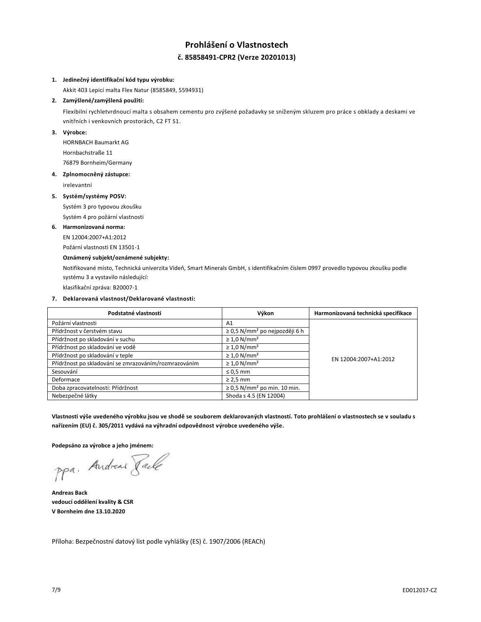# **Prohlášení o Vlastnostech č. 85858491-CPR2 (Verze 20201013)**

# **1. Jedinečný identifikační kód typu výrobku:**

Akkit 403 Lepicí malta Flex Natur (8585849, 5594931)

# **2. Zamýšlené/zamýšlená použití:**

Flexibilní rychletvrdnoucí malta s obsahem cementu pro zvýšené požadavky se sníženým skluzem pro práce s obklady a deskami ve vnitřních i venkovních prostorách, C2 FT S1.

# **3. Výrobce:**

HORNBACH Baumarkt AG Hornbachstraße 11 76879 Bornheim/Germany

# **4. Zplnomocněný zástupce:**

irelevantní

#### **5. Systém/systémy POSV:**

Systém 3 pro typovou zkoušku

Systém 4 pro požární vlastnosti

# **6. Harmonizovaná norma:**

EN 12004:2007+A1:2012

Požární vlastnosti EN 13501-1

# **Oznámený subjekt/oznámené subjekty:**

Notifikované místo, Technická univerzita Vídeň, Smart Minerals GmbH, s identifikačním číslem 0997 provedlo typovou zkoušku podle systému 3 a vystavilo následující:

klasifikační zpráva: B20007-1

# **7. Deklarovaná vlastnost/Deklarované vlastnosti:**

| Podstatné vlastnosti                                  | Výkon                                          | Harmonizovaná technická specifikace |
|-------------------------------------------------------|------------------------------------------------|-------------------------------------|
| Požární vlastnosti                                    | A1                                             |                                     |
| Přídržnost v čerstvém stavu                           | $\geq$ 0,5 N/mm <sup>2</sup> po nejpozději 6 h |                                     |
| Přídržnost po skladování v suchu                      | $\geq 1.0$ N/mm <sup>2</sup>                   |                                     |
| Přídržnost po skladování ve vodě                      | $\geq 1.0$ N/mm <sup>2</sup>                   |                                     |
| Přídržnost po skladování v teple                      | $\geq 1.0$ N/mm <sup>2</sup>                   | EN 12004:2007+A1:2012               |
| Přídržnost po skladování se zmrazováním/rozmrazováním | $\geq 1.0$ N/mm <sup>2</sup>                   |                                     |
| Sesouvání                                             | $\leq 0.5$ mm                                  |                                     |
| Deformace                                             | $\geq$ 2,5 mm                                  |                                     |
| Doba zpracovatelnosti: Přídržnost                     | $\geq$ 0.5 N/mm <sup>2</sup> po min. 10 min.   |                                     |
| Nebezpečné látky                                      | Shoda s 4.5 (EN 12004)                         |                                     |

**Vlastnosti výše uvedeného výrobku jsou ve shodě se souborem deklarovaných vlastností. Toto prohlášení o vlastnostech se v souladu s nařízením (EU) č. 305/2011 vydává na výhradní odpovědnost výrobce uvedeného výše.**

**Podepsáno za výrobce a jeho jménem:**

ppa. Andreas Face

**Andreas Back vedoucí oddělení kvality & CSR V Bornheim dne 13.10.2020**

Příloha: Bezpečnostní datový list podle vyhlášky (ES) č. 1907/2006 (REACh)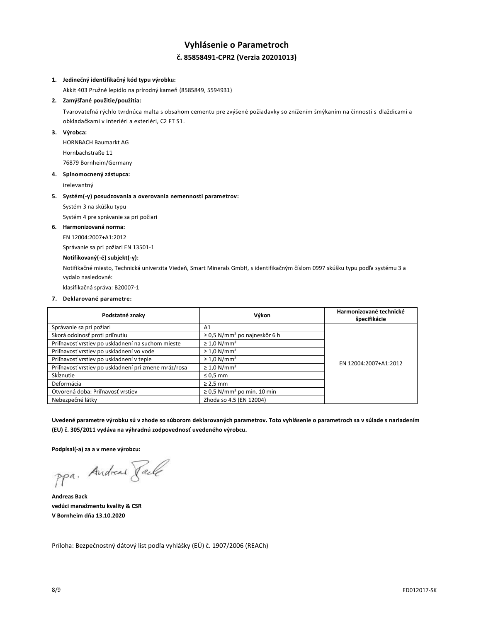# **Vyhlásenie o Parametroch č. 85858491-CPR2 (Verzia 20201013)**

### **1. Jedinečný identifikačný kód typu výrobku:**

Akkit 403 Pružné lepidlo na prírodný kameň (8585849, 5594931)

# **2. Zamýšľané použitie/použitia:**

Tvarovateľná rýchlo tvrdnúca malta s obsahom cementu pre zvýšené požiadavky so znížením šmýkaním na činnosti s dlaždicami a obkladačkami v interiéri a exteriéri, C2 FT S1.

# **3. Výrobca:**

HORNBACH Baumarkt AG Hornbachstraße 11 76879 Bornheim/Germany

#### **4. Splnomocnený zástupca:**

irelevantný

#### **5. Systém(-y) posudzovania a overovania nemennosti parametrov:**

Systém 3 na skúšku typu

Systém 4 pre správanie sa pri požiari

#### **6. Harmonizovaná norma:**

EN 12004:2007+A1:2012

Správanie sa pri požiari EN 13501-1

# **Notifikovaný(-é) subjekt(-y):**

Notifikačné miesto, Technická univerzita Viedeň, Smart Minerals GmbH, s identifikačným číslom 0997 skúšku typu podľa systému 3 a vydalo nasledovné:

klasifikačná správa: B20007-1

#### **7. Deklarované parametre:**

| Podstatné znaky                                      | Výkon                                         | Harmonizované technické<br>špecifikácie |
|------------------------------------------------------|-----------------------------------------------|-----------------------------------------|
| Správanie sa pri požiari                             | A1                                            |                                         |
| Skorá odolnosť proti priľnutiu                       | $\geq$ 0,5 N/mm <sup>2</sup> po najneskôr 6 h |                                         |
| Priľnavosť vrstiev po uskladnení na suchom mieste    | $\geq 1.0$ N/mm <sup>2</sup>                  |                                         |
| Priľnavosť vrstiev po uskladnení vo vode             | $\geq 1.0$ N/mm <sup>2</sup>                  |                                         |
| Priľnavosť vrstiev po uskladnení v teple             | $\geq 1.0$ N/mm <sup>2</sup>                  | EN 12004:2007+A1:2012                   |
| Priľnavosť vrstiev po uskladnení pri zmene mráz/rosa | $\geq 1.0$ N/mm <sup>2</sup>                  |                                         |
| Sklznutie                                            | $\leq 0.5$ mm                                 |                                         |
| Deformácia                                           | $\geq$ 2,5 mm                                 |                                         |
| Otvorená doba: Priľnavosť vrstiev                    | $\geq$ 0.5 N/mm <sup>2</sup> po min. 10 min   |                                         |
| Nebezpečné látky                                     | Zhoda so 4.5 (EN 12004)                       |                                         |

**Uvedené parametre výrobku sú v zhode so súborom deklarovaných parametrov. Toto vyhlásenie o parametroch sa v súlade s nariadením (EU) č. 305/2011 vydáva na výhradnú zodpovednosť uvedeného výrobcu.**

**Podpísal(-a) za a v mene výrobcu:**

ppa. Andreas Taile

**Andreas Back vedúci manažmentu kvality & CSR V Bornheim dňa 13.10.2020**

Príloha: Bezpečnostný dátový list podľa vyhlášky (EÚ) č. 1907/2006 (REACh)